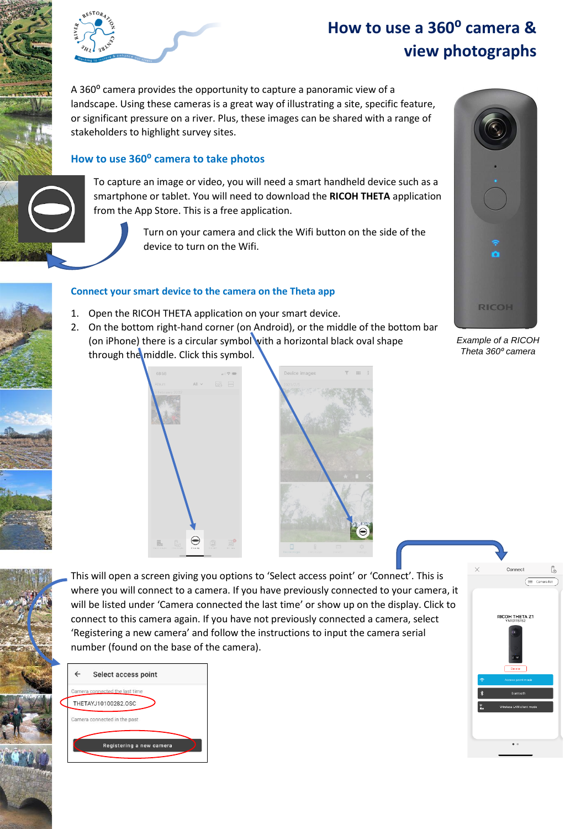

# **How to use a 360⁰ camera & view photographs**

A 360<sup>°</sup> camera provides the opportunity to capture a panoramic view of a landscape. Using these cameras is a great way of illustrating a site, specific feature, or significant pressure on a river. Plus, these images can be shared with a range of stakeholders to highlight survey sites.

# **How to use 360⁰ camera to take photos**

To capture an image or video, you will need a smart handheld device such as a smartphone or tablet. You will need to download the **RICOH THETA** application from the App Store. This is a free application.

> Turn on your camera and click the Wifi button on the side of the device to turn on the Wifi.

#### **Connect your smart device to the camera on the Theta app**

- 1. Open the RICOH THETA application on your smart device.
- 2. On the bottom right-hand corner (on Android), or the middle of the bottom bar (on iPhone) there is a circular symbol with a horizontal black oval shape through the middle. Click this symbol.



*Example of a RICOH Theta 360⁰ camera*





This will open a screen giving you options to 'Select access point' or 'Connect'. This is where you will connect to a camera. If you have previously connected to your camera, it will be listed under 'Camera connected the last time' or show up on the display. Click to connect to this camera again. If you have not previously connected a camera, select 'Registering a new camera' and follow the instructions to input the camera serial number (found on the base of the camera).



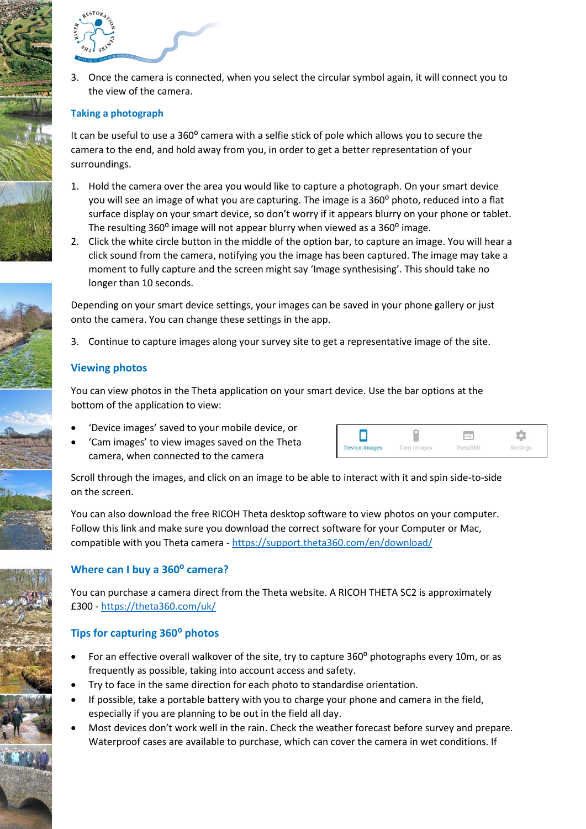

3. Once the camera is connected, when you select the circular symbol again, it will connect you to the view of the camera.

### **Taking a photograph**

It can be useful to use a 360<sup>o</sup> camera with a selfie stick of pole which allows you to secure the camera to the end, and hold away from you, in order to get a better representation of your surroundings.

- 1. Hold the camera over the area you would like to capture a photograph. On your smart device you will see an image of what you are capturing. The image is a 360° photo, reduced into a flat surface display on your smart device, so don't worry if it appears blurry on your phone or tablet. The resulting 360<sup>°</sup> image will not appear blurry when viewed as a 360<sup>°</sup> image.
- 2. Click the white circle button in the middle of the option bar, to capture an image. You will hear a click sound from the camera, notifying you the image has been captured. The image may take a moment to fully capture and the screen might say 'Image synthesising'. This should take no longer than 10 seconds.

Depending on your smart device settings, your images can be saved in your phone gallery or just onto the camera. You can change these settings in the app.

3. Continue to capture images along your survey site to get a representative image of the site.

## **Viewing photos**

You can view photos in the Theta application on your smart device. Use the bar options at the bottom of the application to view:

- 'Device images' saved to your mobile device, or
- 'Cam images' to view images saved on the Theta camera, when connected to the camera



Scroll through the images, and click on an image to be able to interact with it and spin side-to-side on the screen.

You can also download the free RICOH Theta desktop software to view photos on your computer. Follow this link and make sure you download the correct software for your Computer or Mac, compatible with you Theta camera - <https://support.theta360.com/en/download/>

#### **Where can I buy a 360⁰ camera?**

You can purchase a camera direct from the Theta website. A RICOH THETA SC2 is approximately £300 - <https://theta360.com/uk/>

# **Tips for capturing 360⁰ photos**

- For an effective overall walkover of the site, try to capture 360° photographs every 10m, or as frequently as possible, taking into account access and safety.
- Try to face in the same direction for each photo to standardise orientation.
- If possible, take a portable battery with you to charge your phone and camera in the field, especially if you are planning to be out in the field all day.
- Most devices don't work well in the rain. Check the weather forecast before survey and prepare. Waterproof cases are available to purchase, which can cover the camera in wet conditions. If